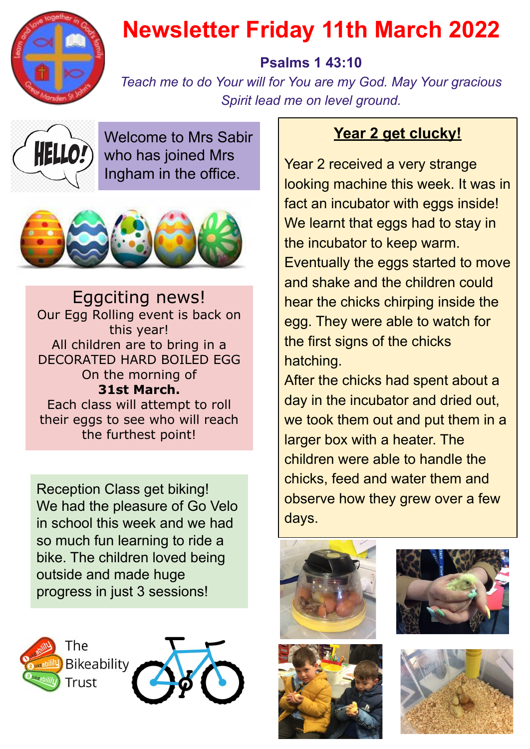

## **Newsletter Friday 11th March 2022**

## **Psalms 1 43:10**

*Teach me to do Your will for You are my God. May Your gracious Spirit lead me on level ground.*



Welcome to Mrs Sabir who has joined Mrs Ingham in the office.



Eggciting news! Our Egg Rolling event is back on this year! All children are to bring in a DECORATED HARD BOILED EGG On the morning of **31st March.** Each class will attempt to roll their eggs to see who will reach the furthest point!

Reception Class get biking! We had the pleasure of Go Velo in school this week and we had so much fun learning to ride a bike. The children loved being outside and made huge progress in just 3 sessions!



## **Year 2 get clucky!**

Year 2 received a very strange looking machine this week. It was in fact an incubator with eggs inside! We learnt that eggs had to stay in the incubator to keep warm. Eventually the eggs started to move and shake and the children could hear the chicks chirping inside the egg. They were able to watch for the first signs of the chicks hatching.

After the chicks had spent about a day in the incubator and dried out, we took them out and put them in a larger box with a heater. The children were able to handle the chicks, feed and water them and observe how they grew over a few days.